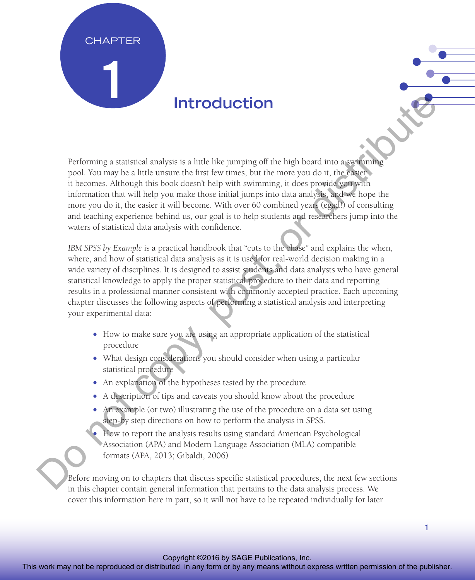CHAPTER

**1**

## **Introduction**

Performing a statistical analysis is a little like jumping off the high board into a swimming pool. You may be a little unsure the first few times, but the more you do it, the easier it becomes. Although this book doesn't help with swimming, it does provide you with information that will help you make those initial jumps into data analysis, and we hope the more you do it, the easier it will become. With over 60 combined years (egad!) of consulting and teaching experience behind us, our goal is to help students and researchers jump into the waters of statistical data analysis with confidence.

*IBM SPSS by Example* is a practical handbook that "cuts to the chase" and explains the when, where, and how of statistical data analysis as it is used for real-world decision making in a wide variety of disciplines. It is designed to assist students and data analysts who have general statistical knowledge to apply the proper statistical procedure to their data and reporting results in a professional manner consistent with commonly accepted practice. Each upcoming chapter discusses the following aspects of performing a statistical analysis and interpreting your experimental data: **This control is a straiged or distributed or distributed or distributed in any form or by any means which are the reproduced by any means which are the publisher. The company of the publisher of the publisher of the publ** 

- • How to make sure you are using an appropriate application of the statistical procedure
- What design considerations you should consider when using a particular statistical procedure
- An explanation of the hypotheses tested by the procedure
- A description of tips and caveats you should know about the procedure
- An example (or two) illustrating the use of the procedure on a data set using step-by step directions on how to perform the analysis in SPSS.
- How to report the analysis results using standard American Psychological
- Association (APA) and Modern Language Association (MLA) compatible formats (APA, 2013; Gibaldi, 2006)

Before moving on to chapters that discuss specific statistical procedures, the next few sections in this chapter contain general information that pertains to the data analysis process. We cover this information here in part, so it will not have to be repeated individually for later

#### Copyright ©2016 by SAGE Publications, Inc.

**1**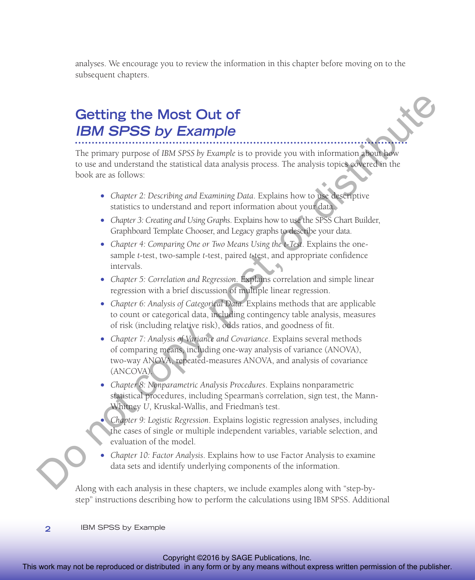analyses. We encourage you to review the information in this chapter before moving on to the subsequent chapters.

# **Getting the Most Out of IBM SPSS by Example**

The primary purpose of *IBM SPSS by Example* is to provide you with information about how to use and understand the statistical data analysis process. The analysis topics covered in the book are as follows:

- • *Chapter 2: Describing and Examining Data*. Explains how to use descriptive statistics to understand and report information about your data.
- • *Chapter 3: Creating and Using Graphs*. Explains how to use the SPSS Chart Builder, Graphboard Template Chooser, and Legacy graphs to describe your data.
- *Chapter 4: Comparing One or Two Means Using the* **t-Test**. Explains the onesample *t*-test, two-sample *t*-test, paired *t*-test, and appropriate confidence intervals.
- • *Chapter 5: Correlation and Regression*. Explains correlation and simple linear regression with a brief discussion of multiple linear regression.
- *Chapter 6: Analysis of Categorical Data*. Explains methods that are applicable to count or categorical data, including contingency table analysis, measures of risk (including relative risk), odds ratios, and goodness of fit.
- • *Chapter 7: Analysis of Variance and Covariance*. Explains several methods of comparing means, including one-way analysis of variance (ANOVA), two-way ANOVA, repeated-measures ANOVA, and analysis of covariance (ANCOVA). **Getting the Most Out of**<br>
The griven, purpose of MW5853*b* example is to provide, purchasing any measurement in any means with the purchasing the state and distributed in any means were computed in any means with the sta
	- *Chapter 8: Nonparametric Analysis Procedures*. Explains nonparametric statistical procedures, including Spearman's correlation, sign test, the Mann-Whitney *U*, Kruskal-Wallis, and Friedman's test.
	- • *Chapter 9: Logistic Regression*. Explains logistic regression analyses, including the cases of single or multiple independent variables, variable selection, and evaluation of the model.
	- • *Chapter 10: Factor Analysis*. Explains how to use Factor Analysis to examine data sets and identify underlying components of the information.

Along with each analysis in these chapters, we include examples along with "step-bystep" instructions describing how to perform the calculations using IBM SPSS. Additional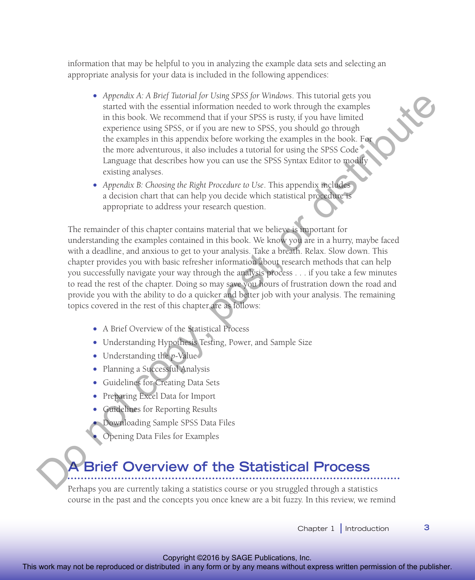information that may be helpful to you in analyzing the example data sets and selecting an appropriate analysis for your data is included in the following appendices:

- Appendix A: A Brief Tutorial for Using SPSS for Windows. This tutorial gets you started with the essential information needed to work through the examples in this book. We recommend that if your SPSS is rusty, if you have limited experience using SPSS, or if you are new to SPSS, you should go through the examples in this appendix before working the examples in the book. For the more adventurous, it also includes a tutorial for using the SPSS Code Language that describes how you can use the SPSS Syntax Editor to modify existing analyses.
- • *Appendix B: Choosing the Right Procedure to Use*. This appendix includes a decision chart that can help you decide which statistical procedure is appropriate to address your research question.

The remainder of this chapter contains material that we believe is important for understanding the examples contained in this book. We know you are in a hurry, maybe faced with a deadline, and anxious to get to your analysis. Take a breath. Relax. Slow down. This chapter provides you with basic refresher information about research methods that can help you successfully navigate your way through the analysis process . . . if you take a few minutes to read the rest of the chapter. Doing so may save you hours of frustration down the road and provide you with the ability to do a quicker and better job with your analysis. The remaining topics covered in the rest of this chapter are as follows: A state is a state of the publisher with the state of the state of the basis of the basis of the basis of the state of the publisher. The complete the complete the complete the complete the complete the complete or the pu

- • A Brief Overview of the Statistical Process
- Understanding Hypothesis Testing, Power, and Sample Size
- Understanding the *p*-Value
- • Planning a Successful Analysis
- • Guidelines for Creating Data Sets
- • Preparing Excel Data for Import
- Guidelines for Reporting Results
- **Downloading Sample SPSS Data Files**
- Opening Data Files for Examples

## **A Brief Overview of the Statistical Process**

Perhaps you are currently taking a statistics course or you struggled through a statistics course in the past and the concepts you once knew are a bit fuzzy. In this review, we remind

Chapter 1 **|** Introduction **3**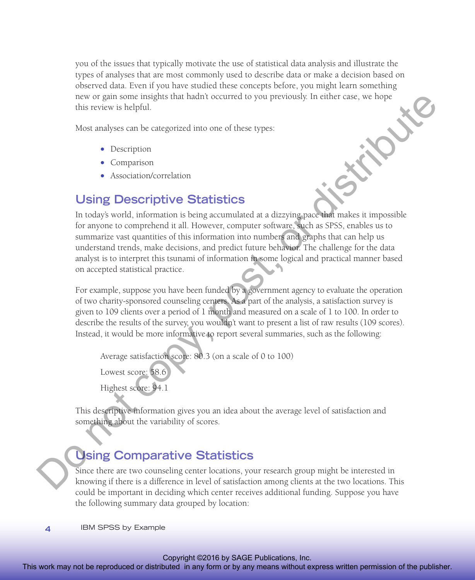you of the issues that typically motivate the use of statistical data analysis and illustrate the types of analyses that are most commonly used to describe data or make a decision based on observed data. Even if you have studied these concepts before, you might learn something new or gain some insights that hadn't occurred to you previously. In either case, we hope this review is helpful.

Most analyses can be categorized into one of these types:

- Description
- Comparison
- Association/correlation

### **Using Descriptive Statistics**

In today's world, information is being accumulated at a dizzying pace that makes it impossible for anyone to comprehend it all. However, computer software, such as SPSS, enables us to summarize vast quantities of this information into numbers and graphs that can help us understand trends, make decisions, and predict future behavior. The challenge for the data analyst is to interpret this tsunami of information in some logical and practical manner based on accepted statistical practice. The results of the reproduced or distributed in any form or be reproduced to the computer or  $\sim$  coordinates computer the response of the computer or  $\sim$  computer or  $\sim$  computer or  $\sim$  computer or  $\sim$  computer or  $\$ 

For example, suppose you have been funded by a government agency to evaluate the operation of two charity-sponsored counseling centers. As a part of the analysis, a satisfaction survey is given to 109 clients over a period of 1 month and measured on a scale of 1 to 100. In order to describe the results of the survey, you wouldn't want to present a list of raw results (109 scores). Instead, it would be more informative to report several summaries, such as the following:

Average satisfaction score: 80.3 (on a scale of 0 to 100)

Lowest score: 58.6

Highest score: 94.1

This descriptive information gives you an idea about the average level of satisfaction and something about the variability of scores.

### **Using Comparative Statistics**

Since there are two counseling center locations, your research group might be interested in knowing if there is a difference in level of satisfaction among clients at the two locations. This could be important in deciding which center receives additional funding. Suppose you have the following summary data grouped by location:

**4** IBM SPSS by Example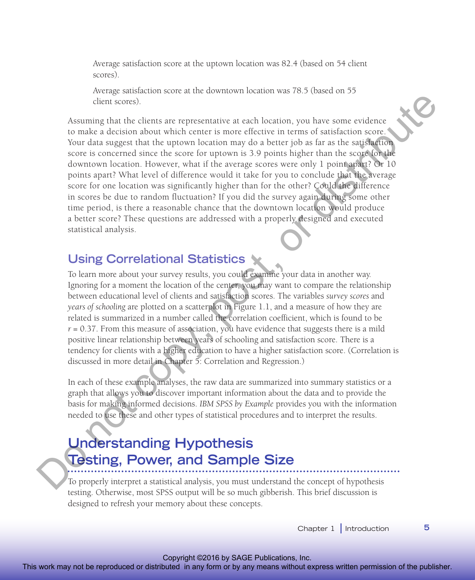Average satisfaction score at the uptown location was 82.4 (based on 54 client scores).

Average satisfaction score at the downtown location was 78.5 (based on 55 client scores).

Assuming that the clients are representative at each location, you have some evidence to make a decision about which center is more effective in terms of satisfaction score. Your data suggest that the uptown location may do a better job as far as the satisfaction score is concerned since the score for uptown is 3.9 points higher than the score for the downtown location. However, what if the average scores were only 1 point apart? Or 10 points apart? What level of difference would it take for you to conclude that the average score for one location was significantly higher than for the other? Could the difference in scores be due to random fluctuation? If you did the survey again during some other time period, is there a reasonable chance that the downtown location would produce a better score? These questions are addressed with a properly designed and executed statistical analysis. Contractions).<br>
Assuming that the clients are representative at each because a control to make a decision about which control in any form or distributed in any form or be a simple of the publisher. The components were com

#### **Using Correlational Statistics**

To learn more about your survey results, you could examine your data in another way. Ignoring for a moment the location of the center, you may want to compare the relationship between educational level of clients and satisfaction scores. The variables *survey scores* and *years of schooling* are plotted on a scatterplot in Figure 1.1, and a measure of how they are related is summarized in a number called the correlation coefficient, which is found to be  $r = 0.37$ . From this measure of association, you have evidence that suggests there is a mild positive linear relationship between years of schooling and satisfaction score. There is a tendency for clients with a higher education to have a higher satisfaction score. (Correlation is discussed in more detail in Chapter 5: Correlation and Regression.)

In each of these example analyses, the raw data are summarized into summary statistics or a graph that allows you to discover important information about the data and to provide the basis for making informed decisions. *IBM SPSS by Example* provides you with the information needed to use these and other types of statistical procedures and to interpret the results.

## **Understanding Hypothesis Testing, Power, and Sample Size**

To properly interpret a statistical analysis, you must understand the concept of hypothesis testing. Otherwise, most SPSS output will be so much gibberish. This brief discussion is designed to refresh your memory about these concepts.

Chapter 1 **|** Introduction **5**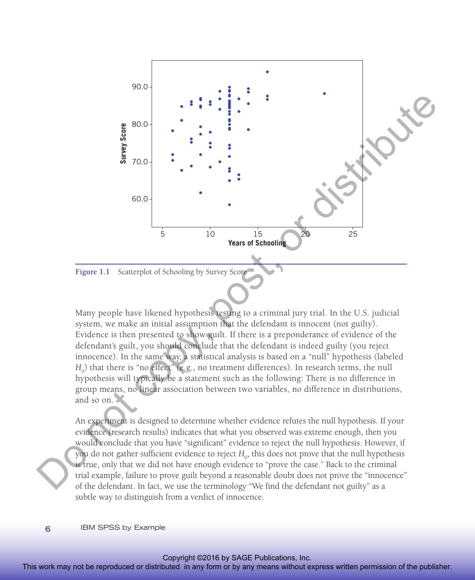



Many people have likened hypothesis testing to a criminal jury trial. In the U.S. judicial system, we make an initial assumption that the defendant is innocent (not guilty). Evidence is then presented to show guilt. If there is a preponderance of evidence of the defendant's guilt, you should conclude that the defendant is indeed guilty (you reject innocence). In the same way, a statistical analysis is based on a "null" hypothesis (labeled *H*<sub>0</sub>) that there is "no effect" (e.g., no treatment differences). In research terms, the null hypothesis will typically be a statement such as the following: There is no difference in group means, no linear association between two variables, no difference in distributions, and so on.

An experiment is designed to determine whether evidence refutes the null hypothesis. If your evidence (research results) indicates that what you observed was extreme enough, then you would conclude that you have "significant" evidence to reject the null hypothesis. However, if you do not gather sufficient evidence to reject  $H_0$ , this does not prove that the null hypothesis is true, only that we did not have enough evidence to "prove the case." Back to the criminal trial example, failure to prove guilt beyond a reasonable doubt does not prove the "innocence" of the defendant. In fact, we use the terminology "We find the defendant not guilty" as a subtle way to distinguish from a verdict of innocence.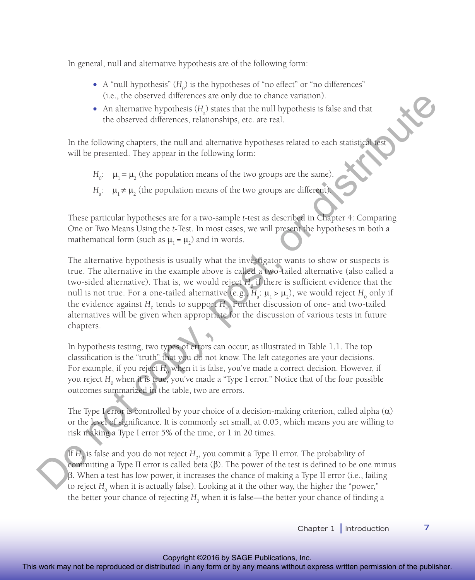In general, null and alternative hypothesis are of the following form:

- A "null hypothesis" ( $H_0$ ) is the hypotheses of "no effect" or "no differences" (i.e., the observed differences are only due to chance variation).
- An alternative hypothesis ( $H_a$ ) states that the null hypothesis is false and that the observed differences, relationships, etc. are real.

In the following chapters, the null and alternative hypotheses related to each statistical test will be presented. They appear in the following form:

- *H*<sub>0</sub>:  $\mu_1 = \mu_2$  (the population means of the two groups are the same).
- *H*<sub>a</sub>:  $\mu_1 \neq \mu_2$  (the population means of the two groups are different).

These particular hypotheses are for a two-sample *t*-test as described in Chapter 4: Comparing One or Two Means Using the *t*-Test. In most cases, we will present the hypotheses in both a mathematical form (such as  $\mu_1 = \mu_2$ ) and in words.

The alternative hypothesis is usually what the investigator wants to show or suspects is true. The alternative in the example above is called a two-tailed alternative (also called a two-sided alternative). That is, we would reject  $H_{\scriptscriptstyle 0}$  if there is sufficient evidence that the null is not true. For a one-tailed alternative (e.g.,  $\overline{H}_a$ :  $\mu_1 > \mu_2$ ), we would reject  $H_0$  only if the evidence against  $H_0$  tends to support  $H_a$ . Further discussion of one- and two-tailed alternatives will be given when appropriate for the discussion of various tests in future chapters. The restricted or the reproduced or distributions were subjected to the multiply detection of the relationship or the restributed in any form or by any means with the publisher. The restriction of the publisher or distrib

In hypothesis testing, two types of errors can occur, as illustrated in Table 1.1. The top classification is the "truth" that you do not know. The left categories are your decisions. For example, if you reject  $H_{\rm o}$  when it is false, you've made a correct decision. However, if you reject  $H_0$  when it is true, you've made a "Type I error." Notice that of the four possible outcomes summarized in the table, two are errors.

The Type I error is controlled by your choice of a decision-making criterion, called alpha  $(\alpha)$ or the level of significance. It is commonly set small, at 0.05, which means you are willing to risk making a Type I error 5% of the time, or 1 in 20 times.

If  $H_{\scriptscriptstyle 0}$  is false and you do not reject  $H_{\scriptscriptstyle 0}$ , you commit a Type II error. The probability of committing a Type II error is called beta  $(\beta)$ . The power of the test is defined to be one minus  $\beta$ . When a test has low power, it increases the chance of making a Type II error (i.e., failing to reject  $H_{\rm o}$  when it is actually false). Looking at it the other way, the higher the "power," the better your chance of rejecting  $H_{\textrm{\tiny{0}}}$  when it is false—the better your chance of finding a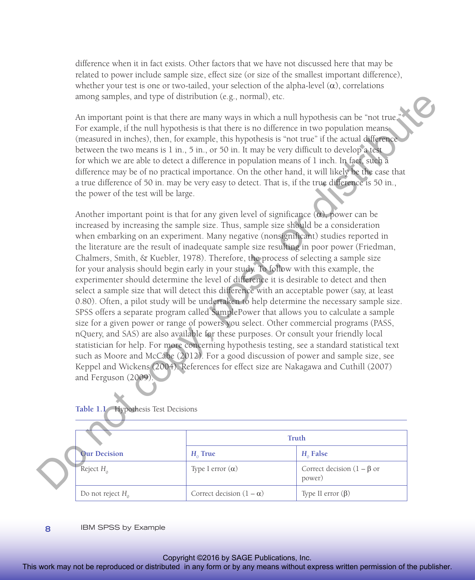difference when it in fact exists. Other factors that we have not discussed here that may be related to power include sample size, effect size (or size of the smallest important difference), whether your test is one or two-tailed, your selection of the alpha-level  $(\alpha)$ , correlations among samples, and type of distribution (e.g., normal), etc.

An important point is that there are many ways in which a null hypothesis can be "not true." For example, if the null hypothesis is that there is no difference in two population means (measured in inches), then, for example, this hypothesis is "not true" if the actual difference between the two means is 1 in., 5 in., or 50 in. It may be very difficult to develop a test for which we are able to detect a difference in population means of 1 inch. In fact, such a difference may be of no practical importance. On the other hand, it will likely be the case that a true difference of 50 in. may be very easy to detect. That is, if the true difference is 50 in., the power of the test will be large.

Another important point is that for any given level of significance  $(\alpha)$ , power can be increased by increasing the sample size. Thus, sample size should be a consideration when embarking on an experiment. Many negative (nonsignificant) studies reported in the literature are the result of inadequate sample size resulting in poor power (Friedman, Chalmers, Smith, & Kuebler, 1978). Therefore, the process of selecting a sample size for your analysis should begin early in your study. To follow with this example, the experimenter should determine the level of difference it is desirable to detect and then select a sample size that will detect this difference with an acceptable power (say, at least 0.80). Often, a pilot study will be undertaken to help determine the necessary sample size. SPSS offers a separate program called SamplePower that allows you to calculate a sample size for a given power or range of powers you select. Other commercial programs (PASS, nQuery, and SAS) are also available for these purposes. Or consult your friendly local statistician for help. For more concerning hypothesis testing, see a standard statistical text such as Moore and McCabe (2012). For a good discussion of power and sample size, see Keppel and Wickens (2004). References for effect size are Nakagawa and Cuthill (2007) and Ferguson (2009). arenes caughts, and by see Gloobian in the publishering and behaviour in the rest may see that there are may see the red defined or distributed in any form or by any means which are the rest or distributed in any form or

|  |                     | Truth                           |                                             |  |  |  |  |
|--|---------------------|---------------------------------|---------------------------------------------|--|--|--|--|
|  | <b>Our Decision</b> | $H_{\circ}$ True                | $H_{\circ}$ False                           |  |  |  |  |
|  | Reject $H_0$        | Type I error $(\alpha)$         | Correct decision $(1 - \beta)$ or<br>power) |  |  |  |  |
|  | Do not reject $H_0$ | Correct decision $(1 - \alpha)$ | Type II error $(\beta)$                     |  |  |  |  |

**Table 1.1** Hypothesis Test Decisions

**8** IBM SPSS by Example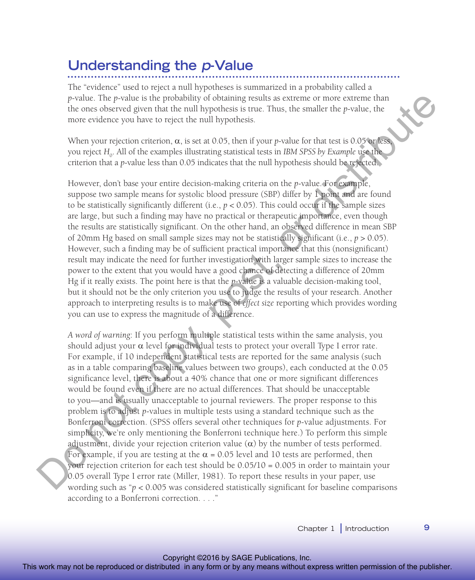## **Understanding the p-Value**

The "evidence" used to reject a null hypotheses is summarized in a probability called a *p*-value. The *p*-value is the probability of obtaining results as extreme or more extreme than the ones observed given that the null hypothesis is true. Thus, the smaller the *p*-value, the more evidence you have to reject the null hypothesis.

When your rejection criterion,  $\alpha$ , is set at 0.05, then if your *p*-value for that test is 0.05 or less, you reject *H*<sup>0</sup> . All of the examples illustrating statistical tests in *IBM SPSS by Example* use the criterion that a *p*-value less than 0.05 indicates that the null hypothesis should be rejected.

However, don't base your entire decision-making criteria on the *p*-value. For example, suppose two sample means for systolic blood pressure (SBP) differ by 1 point and are found to be statistically significantly different (i.e.,  $p < 0.05$ ). This could occur if the sample sizes are large, but such a finding may have no practical or therapeutic importance, even though the results are statistically significant. On the other hand, an observed difference in mean SBP of 20mm Hg based on small sample sizes may not be statistically significant (i.e., *p* > 0.05). However, such a finding may be of sufficient practical importance that this (nonsignificant) result may indicate the need for further investigation with larger sample sizes to increase the power to the extent that you would have a good chance of detecting a difference of 20mm Hg if it really exists. The point here is that the *p*-value is a valuable decision-making tool, but it should not be the only criterion you use to judge the results of your research. Another approach to interpreting results is to make use of *effect size* reporting which provides wording you can use to express the magnitude of a difference.

*A word of warning*: If you perform multiple statistical tests within the same analysis, you should adjust your  $\alpha$  level for individual tests to protect your overall Type I error rate. For example, if 10 independent statistical tests are reported for the same analysis (such as in a table comparing baseline values between two groups), each conducted at the 0.05 significance level, there is about a 40% chance that one or more significant differences would be found even if there are no actual differences. That should be unacceptable to you—and is usually unacceptable to journal reviewers. The proper response to this problem is to adjust *p*-values in multiple tests using a standard technique such as the Bonferroni correction. (SPSS offers several other techniques for *p*-value adjustments. For simplicity, we're only mentioning the Bonferroni technique here.) To perform this simple adjustment, divide your rejection criterion value  $(\alpha)$  by the number of tests performed. For example, if you are testing at the  $\alpha$  = 0.05 level and 10 tests are performed, then your rejection criterion for each test should be 0.05/10 = 0.005 in order to maintain your 0.05 overall Type I error rate (Miller, 1981). To report these results in your paper, use wording such as "*p* < 0.005 was considered statistically significant for baseline comparisons according to a Bonferroni correction. . . ." peaks and the results in any fit can be reproduced to be reproduced to the reproduced or distributed in any form or the publisher. We also the publisher of the reproduced or the publisher of the publisher. We also the pub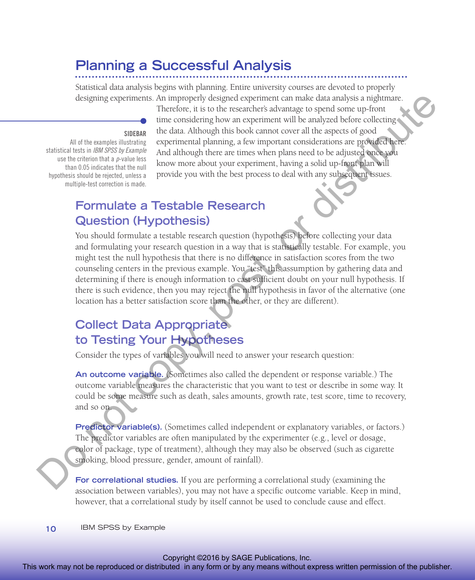## **Planning a Successful Analysis**

Statistical data analysis begins with planning. Entire university courses are devoted to properly designing experiments. An improperly designed experiment can make data analysis a nightmare.

#### SIDEBAR

All of the examples illustrating statistical tests in *IBM SPSS by Example* use the criterion that a *p*-value less than 0.05 indicates that the null hypothesis should be rejected, unless a multiple-test correction is made.

Therefore, it is to the researcher's advantage to spend some up-front time considering how an experiment will be analyzed before collecting the data. Although this book cannot cover all the aspects of good experimental planning, a few important considerations are provided here. And although there are times when plans need to be adjusted once you know more about your experiment, having a solid up-front plan will provide you with the best process to deal with any subsequent issues.

#### **Formulate a Testable Research Question (Hypothesis)**

You should formulate a testable research question (hypothesis) before collecting your data and formulating your research question in a way that is statistically testable. For example, you might test the null hypothesis that there is no difference in satisfaction scores from the two counseling centers in the previous example. You "test" this assumption by gathering data and determining if there is enough information to cast sufficient doubt on your null hypothesis. If there is such evidence, then you may reject the null hypothesis in favor of the alternative (one location has a better satisfaction score than the other, or they are different). designing excerning the reproduced or experiment will be any form of the publisher or distributed in the publisher or distributed in any means were placed in any means where the publisher of the publisher or distributed i

### **Collect Data Appropriate to Testing Your Hypotheses**

Consider the types of variables you will need to answer your research question:

**An outcome variable.** (Sometimes also called the dependent or response variable.) The outcome variable measures the characteristic that you want to test or describe in some way. It could be some measure such as death, sales amounts, growth rate, test score, time to recovery, and so on.

**Predictor variable(s).** (Sometimes called independent or explanatory variables, or factors.) The predictor variables are often manipulated by the experimenter (e.g., level or dosage, color of package, type of treatment), although they may also be observed (such as cigarette smoking, blood pressure, gender, amount of rainfall).

**For correlational studies.** If you are performing a correlational study (examining the association between variables), you may not have a specific outcome variable. Keep in mind, however, that a correlational study by itself cannot be used to conclude cause and effect.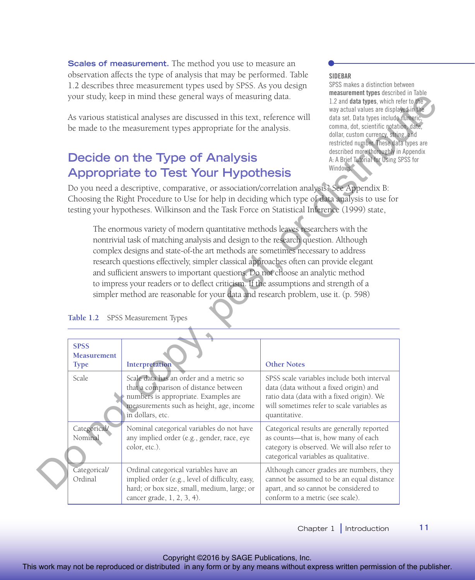**Scales of measurement.** The method you use to measure an observation affects the type of analysis that may be performed. Table 1.2 describes three measurement types used by SPSS. As you design your study, keep in mind these general ways of measuring data.

### **Decide on the Type of Analysis Appropriate to Test Your Hypothesis**

#### **SIDEBAR**

SPSS makes a distinction between measurement types described in Table 1.2 and data types, which refer to the way actual values are displayed in the data set. Data types include numeric, comma, dot, scientific notation, date, dollar, custom currency, string, and restricted number. These data types are described more thoroughly in Appendix A: A Brief Tutorial for Using SPSS for Windows.

|                                   | As various statistical analyses are discussed in this text, reference will<br>be made to the measurement types appropriate for the analysis.<br><b>Decide on the Type of Analysis</b><br><b>Appropriate to Test Your Hypothesis</b>                                                             | way actual values are displayed in the<br>data set. Data types include numeric,<br>comma, dot, scientific notation, date,<br>dollar, custom currency, string, and<br>restricted number. These data types are<br>described more thoroughly in Appendix<br>A: A Brief Tutorial for Using SPSS for |                                                                                                                                                                                                                                                                                                                                                                                                                                                                                                                                                                                                                                                  |
|-----------------------------------|-------------------------------------------------------------------------------------------------------------------------------------------------------------------------------------------------------------------------------------------------------------------------------------------------|-------------------------------------------------------------------------------------------------------------------------------------------------------------------------------------------------------------------------------------------------------------------------------------------------|--------------------------------------------------------------------------------------------------------------------------------------------------------------------------------------------------------------------------------------------------------------------------------------------------------------------------------------------------------------------------------------------------------------------------------------------------------------------------------------------------------------------------------------------------------------------------------------------------------------------------------------------------|
|                                   |                                                                                                                                                                                                                                                                                                 |                                                                                                                                                                                                                                                                                                 |                                                                                                                                                                                                                                                                                                                                                                                                                                                                                                                                                                                                                                                  |
|                                   |                                                                                                                                                                                                                                                                                                 |                                                                                                                                                                                                                                                                                                 |                                                                                                                                                                                                                                                                                                                                                                                                                                                                                                                                                                                                                                                  |
|                                   |                                                                                                                                                                                                                                                                                                 | Windows.                                                                                                                                                                                                                                                                                        |                                                                                                                                                                                                                                                                                                                                                                                                                                                                                                                                                                                                                                                  |
|                                   | Do you need a descriptive, comparative, or association/correlation analysis? See Appendix B:<br>Choosing the Right Procedure to Use for help in deciding which type of data analysis to use for<br>testing your hypotheses. Wilkinson and the Task Force on Statistical Inference (1999) state, |                                                                                                                                                                                                                                                                                                 |                                                                                                                                                                                                                                                                                                                                                                                                                                                                                                                                                                                                                                                  |
| <b>SPSS</b>                       |                                                                                                                                                                                                                                                                                                 |                                                                                                                                                                                                                                                                                                 |                                                                                                                                                                                                                                                                                                                                                                                                                                                                                                                                                                                                                                                  |
| <b>Measurement</b><br><b>Type</b> |                                                                                                                                                                                                                                                                                                 | <b>Other Notes</b>                                                                                                                                                                                                                                                                              |                                                                                                                                                                                                                                                                                                                                                                                                                                                                                                                                                                                                                                                  |
| Scale                             | Scale data has an order and a metric so<br>that a comparison of distance between<br>numbers is appropriate. Examples are<br>measurements such as height, age, income<br>in dollars, etc.                                                                                                        | SPSS scale variables include both interval<br>data (data without a fixed origin) and<br>ratio data (data with a fixed origin). We<br>will sometimes refer to scale variables as<br>quantitative.                                                                                                |                                                                                                                                                                                                                                                                                                                                                                                                                                                                                                                                                                                                                                                  |
| Categorical<br>Nominal            | Nominal categorical variables do not have<br>any implied order (e.g., gender, race, eye<br>color, etc.).                                                                                                                                                                                        | Categorical results are generally reported<br>as counts-that is, how many of each<br>category is observed. We will also refer to<br>categorical variables as qualitative.                                                                                                                       |                                                                                                                                                                                                                                                                                                                                                                                                                                                                                                                                                                                                                                                  |
| Categorical/<br>Ordinal           | Ordinal categorical variables have an<br>implied order (e.g., level of difficulty, easy,<br>hard; or box size, small, medium, large; or<br>cancer grade, 1, 2, 3, 4).                                                                                                                           | Although cancer grades are numbers, they<br>cannot be assumed to be an equal distance<br>apart, and so cannot be considered to<br>conform to a metric (see scale).                                                                                                                              |                                                                                                                                                                                                                                                                                                                                                                                                                                                                                                                                                                                                                                                  |
|                                   |                                                                                                                                                                                                                                                                                                 |                                                                                                                                                                                                                                                                                                 | 11                                                                                                                                                                                                                                                                                                                                                                                                                                                                                                                                                                                                                                               |
|                                   |                                                                                                                                                                                                                                                                                                 | Table 1.2 SPSS Measurement Types<br>Interpretation                                                                                                                                                                                                                                              | The enormous variety of modern quantitative methods leaves researchers with the<br>nontrivial task of matching analysis and design to the research question. Although<br>complex designs and state-of-the art methods are sometimes necessary to address<br>research questions effectively, simpler classical approaches often can provide elegant<br>and sufficient answers to important questions. Do not choose an analytic method<br>to impress your readers or to deflect criticism. If the assumptions and strength of a<br>simpler method are reasonable for your data and research problem, use it. (p. 598)<br>Chapter $1$ Introduction |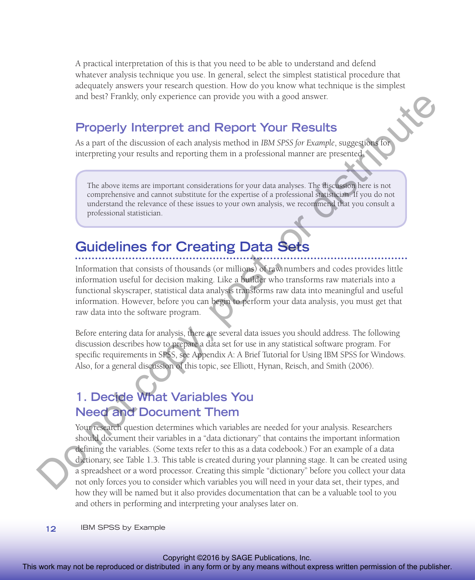A practical interpretation of this is that you need to be able to understand and defend whatever analysis technique you use. In general, select the simplest statistical procedure that adequately answers your research question. How do you know what technique is the simplest and best? Frankly, only experience can provide you with a good answer.

#### **Properly Interpret and Report Your Results**

As a part of the discussion of each analysis method in *IBM SPSS for Example*, suggestions for interpreting your results and reporting them in a professional manner are presented.

The above items are important considerations for your data analyses. The discussion here is not comprehensive and cannot substitute for the expertise of a professional statistician. If you do not understand the relevance of these issues to your own analysis, we recommend that you consult a professional statistician.

## **Guidelines for Creating Data Sets**

Information that consists of thousands (or millions) of raw numbers and codes provides little information useful for decision making. Like a builder who transforms raw materials into a functional skyscraper, statistical data analysis transforms raw data into meaningful and useful information. However, before you can begin to perform your data analysis, you must get that raw data into the software program.

Before entering data for analysis, there are several data issues you should address. The following discussion describes how to prepare a data set for use in any statistical software program. For specific requirements in SPSS, see Appendix A: A Brief Tutorial for Using IBM SPSS for Windows. Also, for a general discussion of this topic, see Elliott, Hynan, Reisch, and Smith (2006).

# **1. Decide What Variables You Need and Document Them**

Your research question determines which variables are needed for your analysis. Researchers should document their variables in a "data dictionary" that contains the important information defining the variables. (Some texts refer to this as a data codebook.) For an example of a data dictionary, see Table 1.3. This table is created during your planning stage. It can be created using a spreadsheet or a word processor. Creating this simple "dictionary" before you collect your data not only forces you to consider which variables you will need in your data set, their types, and how they will be named but it also provides documentation that can be a valuable tool to you and others in performing and interpreting your analyses later on. From the signal distributed or distributed in any five reproduced or distributed in any form or behaviour of distribution of distribution of the any form or behaviour complete the publisher. The publishers are propertied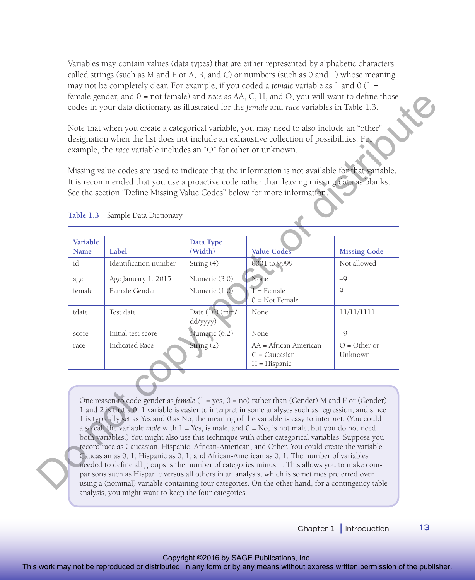Variables may contain values (data types) that are either represented by alphabetic characters called strings (such as M and F or A, B, and C) or numbers (such as 0 and 1) whose meaning may not be completely clear. For example, if you coded a *female* variable as 1 and 0 (1 = female gender, and 0 = not female) and *race* as AA, C, H, and O, you will want to define those codes in your data dictionary, as illustrated for the *female* and *race* variables in Table 1.3.

|                         | example, the race variable includes an "O" for other or unknown. |                            | Note that when you create a categorical variable, you may need to also include an "other"<br>designation when the list does not include an exhaustive collection of possibilities. For                                                                                                                                                                                                                                                                                                                                                                                                                                                                                                                                                                                                                                                                                                                                          |                           |    |
|-------------------------|------------------------------------------------------------------|----------------------------|---------------------------------------------------------------------------------------------------------------------------------------------------------------------------------------------------------------------------------------------------------------------------------------------------------------------------------------------------------------------------------------------------------------------------------------------------------------------------------------------------------------------------------------------------------------------------------------------------------------------------------------------------------------------------------------------------------------------------------------------------------------------------------------------------------------------------------------------------------------------------------------------------------------------------------|---------------------------|----|
|                         |                                                                  |                            | Missing value codes are used to indicate that the information is not available for that variable.<br>It is recommended that you use a proactive code rather than leaving missing data as blanks.<br>See the section "Define Missing Value Codes" below for more information.                                                                                                                                                                                                                                                                                                                                                                                                                                                                                                                                                                                                                                                    |                           |    |
|                         | Table 1.3 Sample Data Dictionary                                 |                            |                                                                                                                                                                                                                                                                                                                                                                                                                                                                                                                                                                                                                                                                                                                                                                                                                                                                                                                                 |                           |    |
| Variable<br><b>Name</b> | Label                                                            | Data Type<br>(Width)       | <b>Value Codes</b>                                                                                                                                                                                                                                                                                                                                                                                                                                                                                                                                                                                                                                                                                                                                                                                                                                                                                                              | <b>Missing Code</b>       |    |
| id                      | Identification number                                            | String (4)                 | 0001 to 9999                                                                                                                                                                                                                                                                                                                                                                                                                                                                                                                                                                                                                                                                                                                                                                                                                                                                                                                    | Not allowed               |    |
| age                     | Age January 1, 2015                                              | Numeric (3.0)              | None                                                                                                                                                                                                                                                                                                                                                                                                                                                                                                                                                                                                                                                                                                                                                                                                                                                                                                                            | $-9$                      |    |
| female                  | Female Gender                                                    | Numeric (1.0)              | $1 =$ Female<br>$0 = Not Female$                                                                                                                                                                                                                                                                                                                                                                                                                                                                                                                                                                                                                                                                                                                                                                                                                                                                                                | $\mathcal{Q}$             |    |
| tdate                   | Test date                                                        | Date (10) (mm/<br>dd/yyyy) | None                                                                                                                                                                                                                                                                                                                                                                                                                                                                                                                                                                                                                                                                                                                                                                                                                                                                                                                            | 11/11/1111                |    |
| score                   | Initial test score                                               | Numeric (6.2)              | None                                                                                                                                                                                                                                                                                                                                                                                                                                                                                                                                                                                                                                                                                                                                                                                                                                                                                                                            | $-9$                      |    |
| race                    | Indicated Race                                                   | String (2)                 | AA = African American<br>$C = Caucasian$<br>$H = Hispanic$                                                                                                                                                                                                                                                                                                                                                                                                                                                                                                                                                                                                                                                                                                                                                                                                                                                                      | $O = Other$ or<br>Unknown |    |
|                         |                                                                  |                            |                                                                                                                                                                                                                                                                                                                                                                                                                                                                                                                                                                                                                                                                                                                                                                                                                                                                                                                                 |                           |    |
|                         |                                                                  |                            | One reason to code gender as female $(1 = yes, 0 = no)$ rather than (Gender) M and F or (Gender)<br>1 and 2 is that a 0, 1 variable is easier to interpret in some analyses such as regression, and since<br>1 is typically set as Yes and 0 as No, the meaning of the variable is easy to interpret. (You could<br>also call the variable male with $1 = Yes$ , is male, and $0 = No$ , is not male, but you do not need<br>both variables.) You might also use this technique with other categorical variables. Suppose you<br>record race as Caucasian, Hispanic, African-American, and Other. You could create the variable<br>Caucasian as 0, 1; Hispanic as 0, 1; and African-American as 0, 1. The number of variables<br>needed to define all groups is the number of categories minus 1. This allows you to make com-<br>parisons such as Hispanic versus all others in an analysis, which is sometimes preferred over |                           |    |
|                         | analysis, you might want to keep the four categories.            |                            | using a (nominal) variable containing four categories. On the other hand, for a contingency table                                                                                                                                                                                                                                                                                                                                                                                                                                                                                                                                                                                                                                                                                                                                                                                                                               |                           |    |
|                         |                                                                  |                            |                                                                                                                                                                                                                                                                                                                                                                                                                                                                                                                                                                                                                                                                                                                                                                                                                                                                                                                                 | Chapter $1$ Introduction  | 13 |
|                         |                                                                  |                            |                                                                                                                                                                                                                                                                                                                                                                                                                                                                                                                                                                                                                                                                                                                                                                                                                                                                                                                                 |                           |    |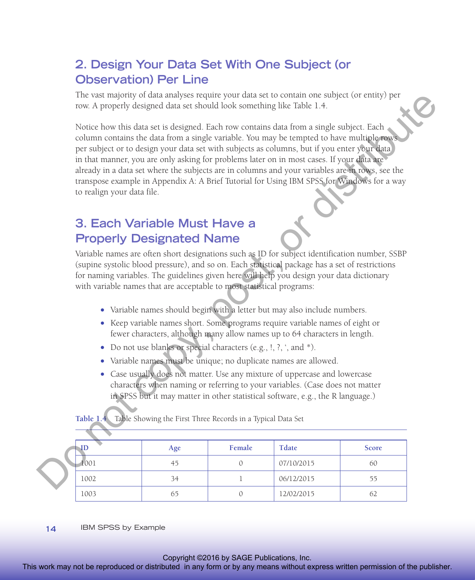### **2. Design Your Data Set With One Subject (or Observation) Per Line**

The vast majority of data analyses require your data set to contain one subject (or entity) per row. A properly designed data set should look something like Table 1.4.

Notice how this data set is designed. Each row contains data from a single subject. Each column contains the data from a single variable. You may be tempted to have multiple rows per subject or to design your data set with subjects as columns, but if you enter your data in that manner, you are only asking for problems later on in most cases. If your data are already in a data set where the subjects are in columns and your variables are in rows, see the transpose example in Appendix A: A Brief Tutorial for Using IBM SPSS for Windows for a way to realign your data file. The reproduced or the reproduced or the representation of the publisher. This was the reproduced or the publisher or the publisher or the publisher. The company of the publisher or the publisher or the publisher or the pu

### **3. Each Variable Must Have a Properly Designated Name**

Variable names are often short designations such as ID for subject identification number, SSBP (supine systolic blood pressure), and so on. Each statistical package has a set of restrictions for naming variables. The guidelines given here will help you design your data dictionary with variable names that are acceptable to most statistical programs:

- Variable names should begin with a letter but may also include numbers.
- Keep variable names short. Some programs require variable names of eight or fewer characters, although many allow names up to 64 characters in length.
- Do not use blanks or special characters  $(e.g., 1, ?, ', and *)$ .
- Variable names must be unique; no duplicate names are allowed.
- Case usually does not matter. Use any mixture of uppercase and lowercase characters when naming or referring to your variables. (Case does not matter in SPSS but it may matter in other statistical software, e.g., the R language.)

**Table 1.4** Table Showing the First Three Records in a Typical Data Set

| ID   | Age | Female | Tdate      | Score |
|------|-----|--------|------------|-------|
| 1001 | 45  |        | 07/10/2015 | 60    |
| 1002 | 34  |        | 06/12/2015 | 55    |
| 1003 | 65  |        | 12/02/2015 | 62    |

14 **IBM SPSS by Example**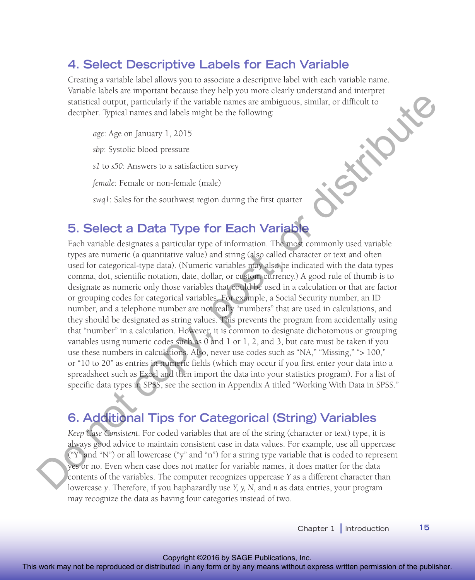#### **4. Select Descriptive Labels for Each Variable**

Creating a variable label allows you to associate a descriptive label with each variable name. Variable labels are important because they help you more clearly understand and interpret statistical output, particularly if the variable names are ambiguous, similar, or difficult to decipher. Typical names and labels might be the following:

*age*: Age on January 1, 2015

*sbp*: Systolic blood pressure

*s1* to *s50*: Answers to a satisfaction survey

*female*: Female or non-female (male)

*swq1*: Sales for the southwest region during the first quarter

### **5. Select a Data Type for Each Variable**

Each variable designates a particular type of information. The most commonly used variable types are numeric (a quantitative value) and string (also called character or text and often used for categorical-type data). (Numeric variables may also be indicated with the data types comma, dot, scientific notation, date, dollar, or custom currency.) A good rule of thumb is to designate as numeric only those variables that could be used in a calculation or that are factor or grouping codes for categorical variables. For example, a Social Security number, an ID number, and a telephone number are not really "numbers" that are used in calculations, and they should be designated as string values. This prevents the program from accidentally using that "number" in a calculation. However, it is common to designate dichotomous or grouping variables using numeric codes such as 0 and 1 or 1, 2, and 3, but care must be taken if you use these numbers in calculations. Also, never use codes such as "NA," "Missing," "> 100," or "10 to 20" as entries in numeric fields (which may occur if you first enter your data into a spreadsheet such as Excel and then import the data into your statistics program). For a list of specific data types in SPSS, see the section in Appendix A titled "Working With Data in SPSS." This work may not be reproduced or the signal or distributed in any form or distributed in any form of the publisher. The signal or distributed in any form of the publisher. The signal or distributed in any form of the pu

### **6. Additional Tips for Categorical (String) Variables**

*Keep Case Consistent*. For coded variables that are of the string (character or text) type, it is always good advice to maintain consistent case in data values. For example, use all uppercase ("Y" and "N") or all lowercase ("y" and "n") for a string type variable that is coded to represent yes or no. Even when case does not matter for variable names, it does matter for the data contents of the variables. The computer recognizes uppercase *Y* as a different character than lowercase *y*. Therefore, if you haphazardly use *Y, y, N,* and *n* as data entries, your program may recognize the data as having four categories instead of two.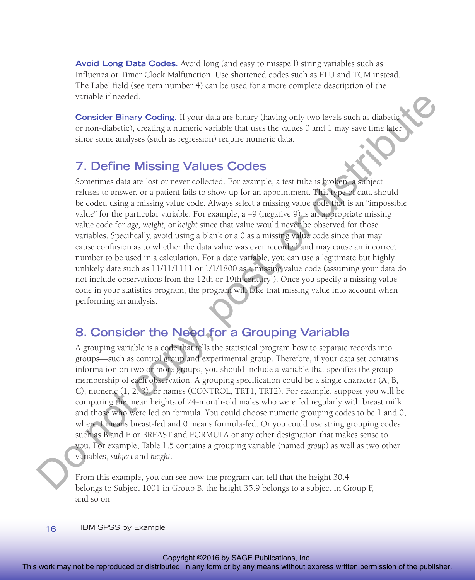**Avoid Long Data Codes.** Avoid long (and easy to misspell) string variables such as Influenza or Timer Clock Malfunction. Use shortened codes such as FLU and TCM instead. The Label field (see item number 4) can be used for a more complete description of the variable if needed.

**Consider Binary Coding.** If your data are binary (having only two levels such as diabetic or non-diabetic), creating a numeric variable that uses the values 0 and 1 may save time later since some analyses (such as regression) require numeric data.

#### **7. Define Missing Values Codes**

Sometimes data are lost or never collected. For example, a test tube is broken, a subject refuses to answer, or a patient fails to show up for an appointment. This type of data should be coded using a missing value code. Always select a missing value code that is an "impossible value" for the particular variable. For example,  $a = 9$  (negative 9) is an appropriate missing value code for *age, weight,* or *height* since that value would never be observed for those variables. Specifically, avoid using a blank or a 0 as a missing value code since that may cause confusion as to whether the data value was ever recorded and may cause an incorrect number to be used in a calculation. For a date variable, you can use a legitimate but highly unlikely date such as 11/11/1111 or 1/1/1800 as a missing value code (assuming your data do not include observations from the 12th or 19th century!). Once you specify a missing value code in your statistics program, the program will take that missing value into account when performing an analysis. The form of the reproduced or distributed in any form or distributed in any form or distributed in any form or distributed in any means when  $\tau$ . Define the reproduced or distributed in any means were also that the publ

### **8. Consider the Need for a Grouping Variable**

A grouping variable is a code that tells the statistical program how to separate records into groups—such as control group and experimental group. Therefore, if your data set contains information on two or more groups, you should include a variable that specifies the group membership of each observation. A grouping specification could be a single character (A, B, C), numeric (1, 2, 3), or names (CONTROL, TRT1, TRT2). For example, suppose you will be comparing the mean heights of 24-month-old males who were fed regularly with breast milk and those who were fed on formula. You could choose numeric grouping codes to be 1 and 0, where 1 means breast-fed and 0 means formula-fed. Or you could use string grouping codes such as B and F or BREAST and FORMULA or any other designation that makes sense to you. For example, Table 1.5 contains a grouping variable (named *group*) as well as two other variables, *subject* and *height*.

From this example, you can see how the program can tell that the height 30.4 belongs to Subject 1001 in Group B, the height 35.9 belongs to a subject in Group F, and so on.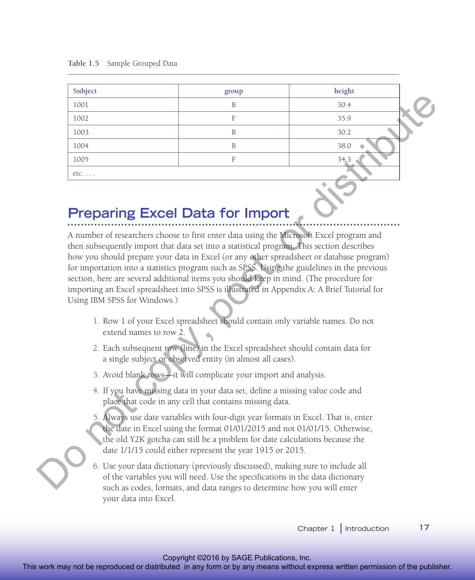#### **Table 1.5** Sample Grouped Data

|                                                                                                                                                                                                                                                                                                                                                                                                                                                                                                                                                                                                                                                                                                                                                                                                                                                                                                                                                                                                                                                                                                                                                                                                                                                                                                                                                                                                                                                                                                                                                                                                                                                                                                                        | Subject       | group                                      | height                   |    |  |  |  |
|------------------------------------------------------------------------------------------------------------------------------------------------------------------------------------------------------------------------------------------------------------------------------------------------------------------------------------------------------------------------------------------------------------------------------------------------------------------------------------------------------------------------------------------------------------------------------------------------------------------------------------------------------------------------------------------------------------------------------------------------------------------------------------------------------------------------------------------------------------------------------------------------------------------------------------------------------------------------------------------------------------------------------------------------------------------------------------------------------------------------------------------------------------------------------------------------------------------------------------------------------------------------------------------------------------------------------------------------------------------------------------------------------------------------------------------------------------------------------------------------------------------------------------------------------------------------------------------------------------------------------------------------------------------------------------------------------------------------|---------------|--------------------------------------------|--------------------------|----|--|--|--|
|                                                                                                                                                                                                                                                                                                                                                                                                                                                                                                                                                                                                                                                                                                                                                                                                                                                                                                                                                                                                                                                                                                                                                                                                                                                                                                                                                                                                                                                                                                                                                                                                                                                                                                                        | 1001          | B                                          | 30.4                     |    |  |  |  |
|                                                                                                                                                                                                                                                                                                                                                                                                                                                                                                                                                                                                                                                                                                                                                                                                                                                                                                                                                                                                                                                                                                                                                                                                                                                                                                                                                                                                                                                                                                                                                                                                                                                                                                                        | 1002          | $\boldsymbol{\mathrm{F}}$                  | 35.9                     |    |  |  |  |
|                                                                                                                                                                                                                                                                                                                                                                                                                                                                                                                                                                                                                                                                                                                                                                                                                                                                                                                                                                                                                                                                                                                                                                                                                                                                                                                                                                                                                                                                                                                                                                                                                                                                                                                        | 1003          | B                                          | 30.2                     |    |  |  |  |
|                                                                                                                                                                                                                                                                                                                                                                                                                                                                                                                                                                                                                                                                                                                                                                                                                                                                                                                                                                                                                                                                                                                                                                                                                                                                                                                                                                                                                                                                                                                                                                                                                                                                                                                        | 1004          | B                                          | 38.0                     |    |  |  |  |
|                                                                                                                                                                                                                                                                                                                                                                                                                                                                                                                                                                                                                                                                                                                                                                                                                                                                                                                                                                                                                                                                                                                                                                                                                                                                                                                                                                                                                                                                                                                                                                                                                                                                                                                        | 1005          | F                                          | 34,3                     |    |  |  |  |
|                                                                                                                                                                                                                                                                                                                                                                                                                                                                                                                                                                                                                                                                                                                                                                                                                                                                                                                                                                                                                                                                                                                                                                                                                                                                                                                                                                                                                                                                                                                                                                                                                                                                                                                        | $etc. \ldots$ |                                            |                          |    |  |  |  |
| <b>Preparing Excel Data for Import</b><br>A number of researchers choose to first enter data using the Microsoft Excel program and<br>then subsequently import that data set into a statistical program. This section describes<br>how you should prepare your data in Excel (or any other spreadsheet or database program)<br>for importation into a statistics program such as SPSS. Using the guidelines in the previous<br>section, here are several additional items you should keep in mind. (The procedure for<br>importing an Excel spreadsheet into SPSS is illustrated in Appendix A: A Brief Tutorial for<br>Using IBM SPSS for Windows.)<br>1. Row 1 of your Excel spreadsheet should contain only variable names. Do not<br>extend names to row 2.<br>2. Each subsequent row (line) in the Excel spreadsheet should contain data for<br>a single subject or observed entity (in almost all cases).<br>3. Avoid blank rows-it will complicate your import and analysis.<br>4. If you have missing data in your data set, define a missing value code and<br>place that code in any cell that contains missing data.<br>5. Always use date variables with four-digit year formats in Excel. That is, enter<br>the date in Excel using the format 01/01/2015 and not 01/01/15. Otherwise,<br>the old Y2K gotcha can still be a problem for date calculations because the<br>date 1/1/15 could either represent the year 1915 or 2015.<br>6. Use your data dictionary (previously discussed), making sure to include all<br>of the variables you will need. Use the specifications in the data dictionary<br>such as codes, formats, and data ranges to determine how you will enter<br>your data into Excel. |               |                                            |                          |    |  |  |  |
|                                                                                                                                                                                                                                                                                                                                                                                                                                                                                                                                                                                                                                                                                                                                                                                                                                                                                                                                                                                                                                                                                                                                                                                                                                                                                                                                                                                                                                                                                                                                                                                                                                                                                                                        |               |                                            | Chapter $1$ Introduction | 17 |  |  |  |
|                                                                                                                                                                                                                                                                                                                                                                                                                                                                                                                                                                                                                                                                                                                                                                                                                                                                                                                                                                                                                                                                                                                                                                                                                                                                                                                                                                                                                                                                                                                                                                                                                                                                                                                        |               |                                            |                          |    |  |  |  |
|                                                                                                                                                                                                                                                                                                                                                                                                                                                                                                                                                                                                                                                                                                                                                                                                                                                                                                                                                                                                                                                                                                                                                                                                                                                                                                                                                                                                                                                                                                                                                                                                                                                                                                                        |               | Copyright ©2016 by SAGE Publications, Inc. |                          |    |  |  |  |
| This work may not be reproduced or distributed in any form or by any means without express written permission of the publisher.                                                                                                                                                                                                                                                                                                                                                                                                                                                                                                                                                                                                                                                                                                                                                                                                                                                                                                                                                                                                                                                                                                                                                                                                                                                                                                                                                                                                                                                                                                                                                                                        |               |                                            |                          |    |  |  |  |

## **Preparing Excel Data for Import**

- 1. Row 1 of your Excel spreadsheet should contain only variable names. Do not extend names to row 2.
- 2. Each subsequent row (line) in the Excel spreadsheet should contain data for a single subject or observed entity (in almost all cases).
- 3. Avoid blank rows—it will complicate your import and analysis.
- 4. If you have missing data in your data set, define a missing value code and place that code in any cell that contains missing data.
- 5. Always use date variables with four-digit year formats in Excel. That is, enter the date in Excel using the format 01/01/2015 and not 01/01/15. Otherwise, the old Y2K gotcha can still be a problem for date calculations because the date 1/1/15 could either represent the year 1915 or 2015.
- 6. Use your data dictionary (previously discussed), making sure to include all of the variables you will need. Use the specifications in the data dictionary such as codes, formats, and data ranges to determine how you will enter your data into Excel.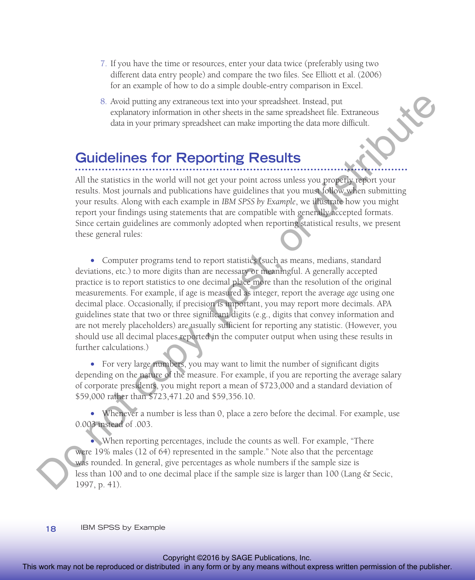- 7. If you have the time or resources, enter your data twice (preferably using two different data entry people) and compare the two files. See Elliott et al. (2006) for an example of how to do a simple double-entry comparison in Excel.
- 8. Avoid putting any extraneous text into your spreadsheet. Instead, put explanatory information in other sheets in the same spreadsheet file. Extraneous data in your primary spreadsheet can make importing the data more difficult.

## **Guidelines for Reporting Results**

All the statistics in the world will not get your point across unless you properly report your results. Most journals and publications have guidelines that you must follow when submitting your results. Along with each example in *IBM SPSS by Example*, we illustrate how you might report your findings using statements that are compatible with generally accepted formats. Since certain guidelines are commonly adopted when reporting statistical results, we present these general rules:

• Computer programs tend to report statistics (such as means, medians, standard deviations, etc.) to more digits than are necessary or meaningful. A generally accepted practice is to report statistics to one decimal place more than the resolution of the original measurements. For example, if age is measured as integer, report the average *age* using one decimal place. Occasionally, if precision is important, you may report more decimals. APA guidelines state that two or three significant digits (e.g., digits that convey information and are not merely placeholders) are usually sufficient for reporting any statistic. (However, you should use all decimal places reported in the computer output when using these results in further calculations.) S. And comparison to repress the same system and the reproduced or distributed in any form or between the same of the publisher comparison of the same of the same of the publisher control of the publisher control of the p

• For very large numbers, you may want to limit the number of significant digits depending on the nature of the measure. For example, if you are reporting the average salary of corporate presidents, you might report a mean of \$723,000 and a standard deviation of \$59,000 rather than \$723,471.20 and \$59,356.10.

• Whenever a number is less than 0, place a zero before the decimal. For example, use 0.003 instead of .003.

• When reporting percentages, include the counts as well. For example, "There were 19% males (12 of 64) represented in the sample." Note also that the percentage was rounded. In general, give percentages as whole numbers if the sample size is less than 100 and to one decimal place if the sample size is larger than 100 (Lang & Secic, 1997, p. 41).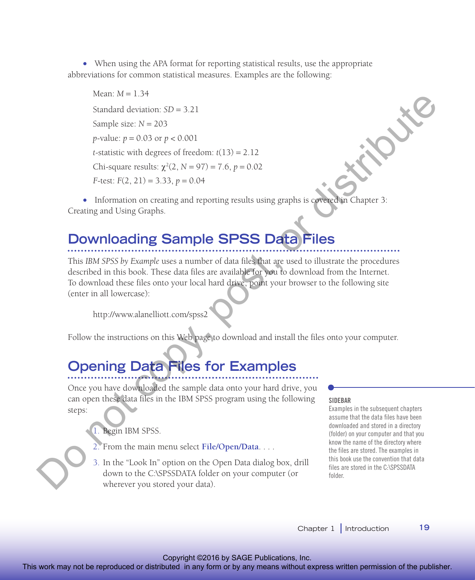• When using the APA format for reporting statistical results, use the appropriate abbreviations for common statistical measures. Examples are the following:

Mean: *M* = 1.34 Standard deviation: *SD* = 3.21 Sample size: *N* = 203 *p*-value: *p* = 0.03 or *p* < 0.001 *t*-statistic with degrees of freedom:  $t(13) = 2.12$ Chi-square results:  $\chi^2(2, N = 97) = 7.6$ ,  $p = 0.02$ *F*-test: *F*(2, 21) = 3.33, *p* = 0.04 Standard decision. SD = 3.21<br>
Standard decisions: SD = 3.21<br>
y whice per in Osive p e COMP<br>
is a standard copy of the publisher or distributed in any produced in any produced in any produced in any produced in any form or

• Information on creating and reporting results using graphs is covered in Chapter 3: Creating and Using Graphs.

## **Downloading Sample SPSS Data Files**

This *IBM SPSS by Example* uses a number of data files that are used to illustrate the procedures described in this book. These data files are available for you to download from the Internet. To download these files onto your local hard drive, point your browser to the following site (enter in all lowercase):

http://www.alanelliott.com/spss2

Follow the instructions on this Web page to download and install the files onto your computer.

## **Opening Data Files for Examples**

Once you have downloaded the sample data onto your hard drive, you can open these data files in the IBM SPSS program using the following steps:

1. Begin IBM SPSS.

- 2. From the main menu select **File/Open/Data**. . . .
- 3. In the "Look In" option on the Open Data dialog box, drill down to the C:\SPSSDATA folder on your computer (or wherever you stored your data).

#### SIDEBAR

Examples in the subsequent chapters assume that the data files have been downloaded and stored in a directory (folder) on your computer and that you know the name of the directory where the files are stored. The examples in this book use the convention that data files are stored in the C:\SPSSDATA folder.